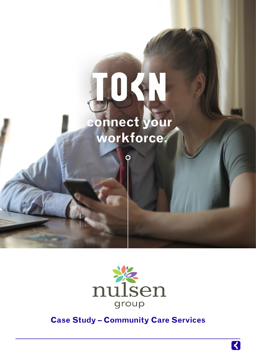## IOSH  **connect your workforce.**



**Case Study – Community Care Services**

K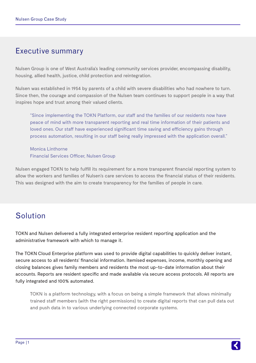## Executive summary

Nulsen Group is one of West Australia's leading community services provider, encompassing disability, housing, allied health, justice, child protection and reintegration.

Nulsen was established in 1954 by parents of a child with severe disabilities who had nowhere to turn. Since then, the courage and compassion of the Nulsen team continues to support people in a way that inspires hope and trust among their valued clients.

"Since implementing the TOKN Platform, our staff and the families of our residents now have peace of mind with more transparent reporting and real time information of their patients and loved ones. Our staff have experienced significant time saving and efficiency gains through process automation, resulting in our staff being really impressed with the application overall."

Monica Linthorne Financial Services Officer, Nulsen Group

Nulsen engaged TOKN to help fulfill its requirement for a more transparent financial reporting system to allow the workers and families of Nulsen's care services to access the financial status of their residents. This was designed with the aim to create transparency for the families of people in care.

## Solution

TOKN and Nulsen delivered a fully integrated enterprise resident reporting application and the administrative framework with which to manage it.

The TOKN Cloud Enterprise platform was used to provide digital capabilities to quickly deliver instant, secure access to all residents' financial information. Itemised expenses, income, monthly opening and closing balances gives family members and residents the most up-to-date information about their accounts. Reports are resident specific and made available via secure access protocols. All reports are fully integrated and 100% automated.

TOKN is a platform technology, with a focus on being a simple framework that allows minimally trained staff members (with the right permissions) to create digital reports that can pull data out and push data in to various underlying connected corporate systems.